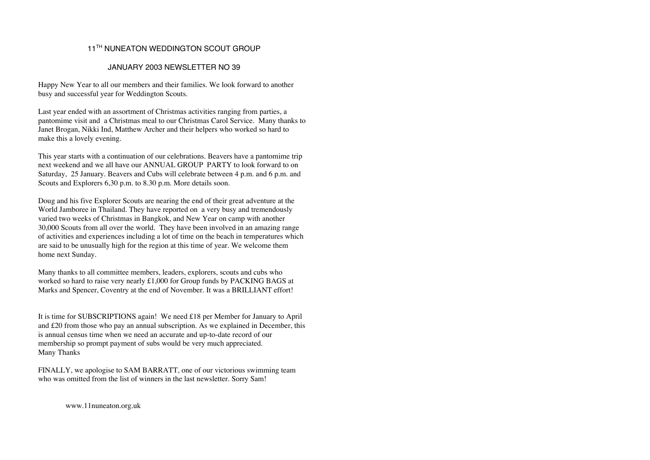# 11<sup>TH</sup> NUNEATON WEDDINGTON SCOUT GROUP

### JANUARY 2003 NEWSLETTER NO 39

Happy New Year to all our members and their families. We look forward to another busy and successful year for Weddington Scouts.

Last year ended with an assortment of Christmas activities ranging from parties, a pantomime visit and a Christmas meal to our Christmas Carol Service. Many thanks to Janet Brogan, Nikki Ind, Matthew Archer and their helpers who worked so hard to make this a lovely evening.

This year starts with a continuation of our celebrations. Beavers have a pantomime trip next weekend and we all have our ANNUAL GROUP PARTY to look forward to on Saturday, 25 January. Beavers and Cubs will celebrate between 4 p.m. and 6 p.m. and Scouts and Explorers 6,30 p.m. to 8.30 p.m. More details soon.

Doug and his five Explorer Scouts are nearing the end of their great adventure at the World Jamboree in Thailand. They have reported on a very busy and tremendously varied two weeks of Christmas in Bangkok, and New Year on camp with another 30,000 Scouts from all over the world. They have been involved in an amazing range of activities and experiences including a lot of time on the beach in temperatures which are said to be unusually high for the region at this time of year. We welcome them home next Sunday.

Many thanks to all committee members, leaders, explorers, scouts and cubs who worked so hard to raise very nearly £1,000 for Group funds by PACKING BAGS at Marks and Spencer, Coventry at the end of November. It was a BRILLIANT effort!

It is time for SUBSCRIPTIONS again! We need £18 per Member for January to April and £20 from those who pay an annual subscription. As we explained in December, this is annual census time when we need an accurate and up-to-date record of our membership so prompt payment of subs would be very much appreciated. Many Thanks

FINALLY, we apologise to SAM BARRATT, one of our victorious swimming team who was omitted from the list of winners in the last newsletter. Sorry Sam!

www.11nuneaton.org.uk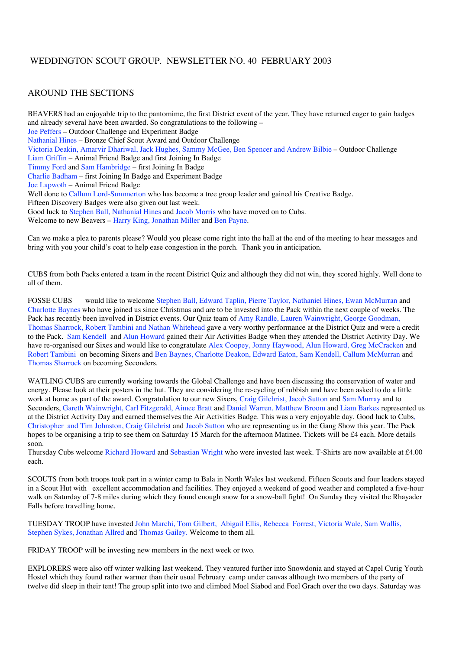# WEDDINGTON SCOUT GROUP. NEWSLETTER NO. 40 FEBRUARY 2003

# AROUND THE SECTIONS

BEAVERS had an enjoyable trip to the pantomime, the first District event of the year. They have returned eager to gain badges and already several have been awarded. So congratulations to the following – Joe Peffers – Outdoor Challenge and Experiment Badge Nathanial Hines – Bronze Chief Scout Award and Outdoor Challenge Victoria Deakin, Amarvir Dhariwal, Jack Hughes, Sammy McGee, Ben Spencer and Andrew Bilbie – Outdoor Challenge Liam Griffin – Animal Friend Badge and first Joining In Badge Timmy Ford and Sam Hambridge – first Joining In Badge Charlie Badham – first Joining In Badge and Experiment Badge Joe Lapwoth – Animal Friend Badge Well done to Callum Lord-Summerton who has become a tree group leader and gained his Creative Badge. Fifteen Discovery Badges were also given out last week. Good luck to Stephen Ball, Nathanial Hines and Jacob Morris who have moved on to Cubs. Welcome to new Beavers – Harry King, Jonathan Miller and Ben Payne.

Can we make a plea to parents please? Would you please come right into the hall at the end of the meeting to hear messages and bring with you your child's coat to help ease congestion in the porch. Thank you in anticipation.

CUBS from both Packs entered a team in the recent District Quiz and although they did not win, they scored highly. Well done to all of them.

FOSSE CUBS would like to welcome Stephen Ball, Edward Taplin, Pierre Taylor, Nathaniel Hines, Ewan McMurran and Charlotte Baynes who have joined us since Christmas and are to be invested into the Pack within the next couple of weeks. The Pack has recently been involved in District events. Our Quiz team of Amy Randle, Lauren Wainwright, George Goodman, Thomas Sharrock, Robert Tambini and Nathan Whitehead gave a very worthy performance at the District Quiz and were a credit to the Pack. Sam Kendell and Alun Howard gained their Air Activities Badge when they attended the District Activity Day. We have re-organised our Sixes and would like to congratulate Alex Coopey, Jonny Haywood, Alun Howard, Greg McCracken and Robert Tambini on becoming Sixers and Ben Baynes, Charlotte Deakon, Edward Eaton, Sam Kendell, Callum McMurran and Thomas Sharrock on becoming Seconders.

WATLING CUBS are currently working towards the Global Challenge and have been discussing the conservation of water and energy. Please look at their posters in the hut. They are considering the re-cycling of rubbish and have been asked to do a little work at home as part of the award. Congratulation to our new Sixers, Craig Gilchrist, Jacob Sutton and Sam Murray and to Seconders, Gareth Wainwright, Carl Fitzgerald, Aimee Bratt and Daniel Warren. Matthew Broom and Liam Barkes represented us at the District Activity Day and earned themselves the Air Activities Badge. This was a very enjoyable day. Good luck to Cubs, Christopher and Tim Johnston, Craig Gilchrist and Jacob Sutton who are representing us in the Gang Show this year. The Pack hopes to be organising a trip to see them on Saturday 15 March for the afternoon Matinee. Tickets will be £4 each. More details soon.

Thursday Cubs welcome Richard Howard and Sebastian Wright who were invested last week. T-Shirts are now available at £4.00 each.

SCOUTS from both troops took part in a winter camp to Bala in North Wales last weekend. Fifteen Scouts and four leaders stayed in a Scout Hut with excellent accommodation and facilities. They enjoyed a weekend of good weather and completed a five-hour walk on Saturday of 7-8 miles during which they found enough snow for a snow-ball fight! On Sunday they visited the Rhayader Falls before travelling home.

TUESDAY TROOP have invested John Marchi, Tom Gilbert, Abigail Ellis, Rebecca Forrest, Victoria Wale, Sam Wallis, Stephen Sykes, Jonathan Allred and Thomas Gailey. Welcome to them all.

FRIDAY TROOP will be investing new members in the next week or two.

EXPLORERS were also off winter walking last weekend. They ventured further into Snowdonia and stayed at Capel Curig Youth Hostel which they found rather warmer than their usual February camp under canvas although two members of the party of twelve did sleep in their tent! The group split into two and climbed Moel Siabod and Foel Grach over the two days. Saturday was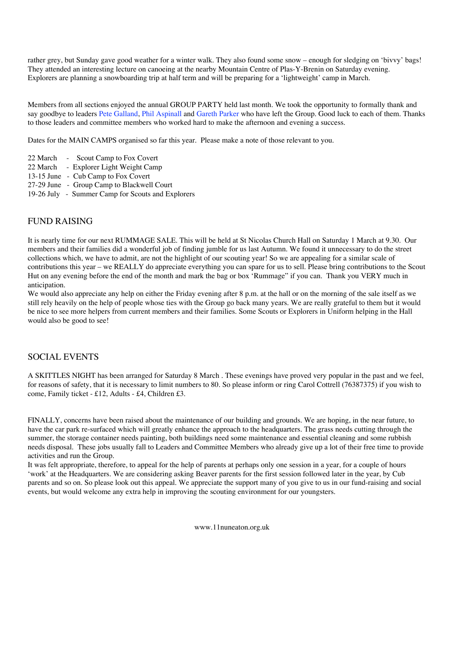rather grey, but Sunday gave good weather for a winter walk. They also found some snow – enough for sledging on 'bivvy' bags! They attended an interesting lecture on canoeing at the nearby Mountain Centre of Plas-Y-Brenin on Saturday evening. Explorers are planning a snowboarding trip at half term and will be preparing for a 'lightweight' camp in March.

Members from all sections enjoyed the annual GROUP PARTY held last month. We took the opportunity to formally thank and say goodbye to leaders Pete Galland, Phil Aspinall and Gareth Parker who have left the Group. Good luck to each of them. Thanks to those leaders and committee members who worked hard to make the afternoon and evening a success.

Dates for the MAIN CAMPS organised so far this year. Please make a note of those relevant to you.

- 22 March Scout Camp to Fox Covert
- 22 March Explorer Light Weight Camp
- 13-15 June Cub Camp to Fox Covert
- 27-29 June Group Camp to Blackwell Court
- 19-26 July Summer Camp for Scouts and Explorers

## FUND RAISING

It is nearly time for our next RUMMAGE SALE. This will be held at St Nicolas Church Hall on Saturday 1 March at 9.30. Our members and their families did a wonderful job of finding jumble for us last Autumn. We found it unnecessary to do the street collections which, we have to admit, are not the highlight of our scouting year! So we are appealing for a similar scale of contributions this year – we REALLY do appreciate everything you can spare for us to sell. Please bring contributions to the Scout Hut on any evening before the end of the month and mark the bag or box 'Rummage" if you can. Thank you VERY much in anticipation.

We would also appreciate any help on either the Friday evening after 8 p.m. at the hall or on the morning of the sale itself as we still rely heavily on the help of people whose ties with the Group go back many years. We are really grateful to them but it would be nice to see more helpers from current members and their families. Some Scouts or Explorers in Uniform helping in the Hall would also be good to see!

## SOCIAL EVENTS

A SKITTLES NIGHT has been arranged for Saturday 8 March . These evenings have proved very popular in the past and we feel, for reasons of safety, that it is necessary to limit numbers to 80. So please inform or ring Carol Cottrell (76387375) if you wish to come, Family ticket - £12, Adults - £4, Children £3.

FINALLY, concerns have been raised about the maintenance of our building and grounds. We are hoping, in the near future, to have the car park re-surfaced which will greatly enhance the approach to the headquarters. The grass needs cutting through the summer, the storage container needs painting, both buildings need some maintenance and essential cleaning and some rubbish needs disposal. These jobs usually fall to Leaders and Committee Members who already give up a lot of their free time to provide activities and run the Group.

It was felt appropriate, therefore, to appeal for the help of parents at perhaps only one session in a year, for a couple of hours 'work' at the Headquarters. We are considering asking Beaver parents for the first session followed later in the year, by Cub parents and so on. So please look out this appeal. We appreciate the support many of you give to us in our fund-raising and social events, but would welcome any extra help in improving the scouting environment for our youngsters.

www.11nuneaton.org.uk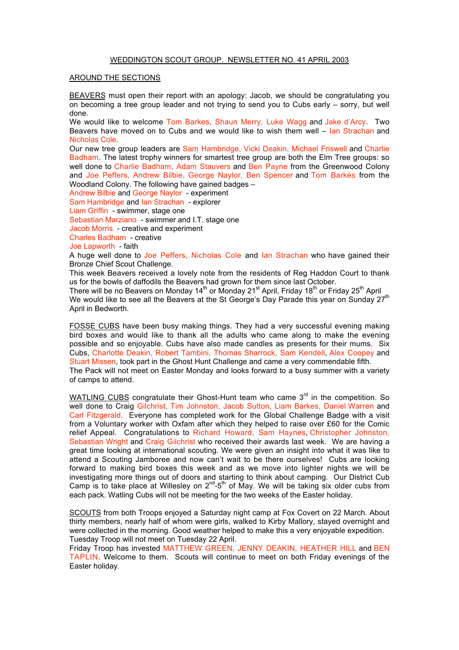### WEDDINGTON SCOUT GROUP. NEWSLETTER NO. 41 APRIL 2003

### AROUND THE SECTIONS

BEAVERS must open their report with an apology: Jacob, we should be congratulating you on becoming a tree group leader and not trying to send you to Cubs early – sorry, but well done.

We would like to welcome Tom Barkes, Shaun Merry, Luke Wagg and Jake d'Arcy. Two Beavers have moved on to Cubs and we would like to wish them well – Ian Strachan and Nicholas Cole.

Our new tree group leaders are Sam Hambridge, Vicki Deakin, Michael Friswell and Charlie Badham. The latest trophy winners for smartest tree group are both the Elm Tree groups: so well done to Charlie Badham, Adam Stauvers and Ben Payne from the Greenwood Colony and Joe Peffers, Andrew Bilbie, George Naylor, Ben Spencer and Tom Barkes from the Woodland Colony. The following have gained badges –

Andrew Bilbie and George Naylor - experiment Sam Hambridge and Ian Strachan - explorer Liam Griffin - swimmer, stage one Sebastian Marziano - swimmer and I.T. stage one Jacob Morris - creative and experiment Charles Badham - creative Joe Lapworth - faith

A huge well done to Joe Peffers, Nicholas Cole and Ian Strachan who have gained their Bronze Chief Scout Challenge.

This week Beavers received a lovely note from the residents of Reg Haddon Court to thank us for the bowls of daffodils the Beavers had grown for them since last October.

There will be no Beavers on Monday  $14<sup>th</sup>$  or Monday  $21<sup>st</sup>$  April, Friday  $18<sup>th</sup>$  or Friday  $25<sup>th</sup>$  April We would like to see all the Beavers at the St George's Day Parade this year on Sunday 27<sup>th</sup> April in Bedworth.

FOSSE CUBS have been busy making things. They had a very successful evening making bird boxes and would like to thank all the adults who came along to make the evening possible and so enjoyable. Cubs have also made candles as presents for their mums. Six Cubs, Charlotte Deakin, Robert Tambini, Thomas Sharrock, Sam Kendell, Alex Coopey and Stuart Missen, took part in the Ghost Hunt Challenge and came a very commendable fifth.

The Pack will not meet on Easter Monday and looks forward to a busy summer with a variety of camps to attend.

WATLING CUBS congratulate their Ghost-Hunt team who came 3<sup>rd</sup> in the competition. So well done to Craig Gilchrist, Tim Johnston, Jacob Sutton, Liam Barkes, Daniel Warren and Carl Fitzgerald. Everyone has completed work for the Global Challenge Badge with a visit from a Voluntary worker with Oxfam after which they helped to raise over £60 for the Comic relief Appeal. Congratulations to Richard Howard, Sam Haynes, Christopher Johnston, Sebastian Wright and Craig Gilchrist who received their awards last week. We are having a great time looking at international scouting. We were given an insight into what it was like to attend a Scouting Jamboree and now can't wait to be there ourselves! Cubs are looking forward to making bird boxes this week and as we move into lighter nights we will be investigating more things out of doors and starting to think about camping. Our District Cub Camp is to take place at Willesley on  $2^{nd}$ -5<sup>th</sup> of May. We will be taking six older cubs from each pack. Watling Cubs will not be meeting for the two weeks of the Easter holiday.

SCOUTS from both Troops enjoyed a Saturday night camp at Fox Covert on 22 March. About thirty members, nearly half of whom were girls, walked to Kirby Mallory, stayed overnight and were collected in the morning. Good weather helped to make this a very enjoyable expedition. Tuesday Troop will not meet on Tuesday 22 April.

Friday Troop has invested MATTHEW GREEN, JENNY DEAKIN, HEATHER HILL and BEN TAPLIN. Welcome to them. Scouts will continue to meet on both Friday evenings of the Easter holiday.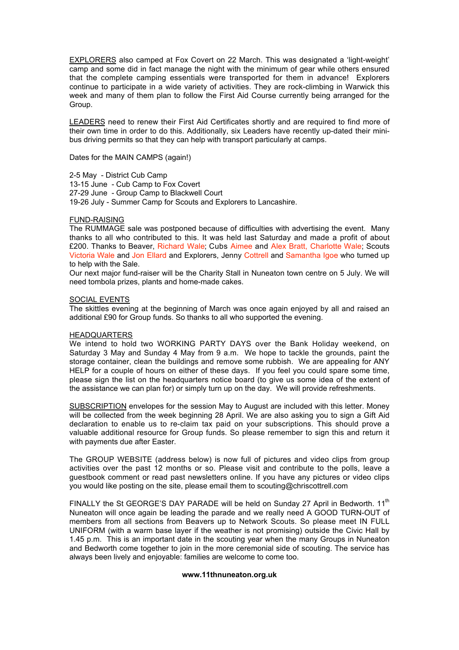EXPLORERS also camped at Fox Covert on 22 March. This was designated a 'light-weight' camp and some did in fact manage the night with the minimum of gear while others ensured that the complete camping essentials were transported for them in advance! Explorers continue to participate in a wide variety of activities. They are rock-climbing in Warwick this week and many of them plan to follow the First Aid Course currently being arranged for the Group.

LEADERS need to renew their First Aid Certificates shortly and are required to find more of their own time in order to do this. Additionally, six Leaders have recently up-dated their minibus driving permits so that they can help with transport particularly at camps.

Dates for the MAIN CAMPS (again!)

2-5 May - District Cub Camp 13-15 June - Cub Camp to Fox Covert 27-29 June - Group Camp to Blackwell Court 19-26 July - Summer Camp for Scouts and Explorers to Lancashire.

### FUND-RAISING

The RUMMAGE sale was postponed because of difficulties with advertising the event. Many thanks to all who contributed to this. It was held last Saturday and made a profit of about £200. Thanks to Beaver, Richard Wale; Cubs Aimee and Alex Bratt, Charlotte Wale; Scouts Victoria Wale and Jon Ellard and Explorers, Jenny Cottrell and Samantha Igoe who turned up to help with the Sale.

Our next major fund-raiser will be the Charity Stall in Nuneaton town centre on 5 July. We will need tombola prizes, plants and home-made cakes.

### SOCIAL EVENTS

The skittles evening at the beginning of March was once again enjoyed by all and raised an additional £90 for Group funds. So thanks to all who supported the evening.

### HEADQUARTERS

We intend to hold two WORKING PARTY DAYS over the Bank Holiday weekend, on Saturday 3 May and Sunday 4 May from 9 a.m. We hope to tackle the grounds, paint the storage container, clean the buildings and remove some rubbish. We are appealing for ANY HELP for a couple of hours on either of these days. If you feel you could spare some time, please sign the list on the headquarters notice board (to give us some idea of the extent of the assistance we can plan for) or simply turn up on the day. We will provide refreshments.

SUBSCRIPTION envelopes for the session May to August are included with this letter. Money will be collected from the week beginning 28 April. We are also asking you to sign a Gift Aid declaration to enable us to re-claim tax paid on your subscriptions. This should prove a valuable additional resource for Group funds. So please remember to sign this and return it with payments due after Easter.

The GROUP WEBSITE (address below) is now full of pictures and video clips from group activities over the past 12 months or so. Please visit and contribute to the polls, leave a guestbook comment or read past newsletters online. If you have any pictures or video clips you would like posting on the site, please email them to scouting@chriscottrell.com

FINALLY the St GEORGE'S DAY PARADE will be held on Sunday 27 April in Bedworth. 11<sup>th</sup> Nuneaton will once again be leading the parade and we really need A GOOD TURN-OUT of members from all sections from Beavers up to Network Scouts. So please meet IN FULL UNIFORM (with a warm base layer if the weather is not promising) outside the Civic Hall by 1.45 p.m. This is an important date in the scouting year when the many Groups in Nuneaton and Bedworth come together to join in the more ceremonial side of scouting. The service has always been lively and enjoyable: families are welcome to come too.

### **www.11thnuneaton.org.uk**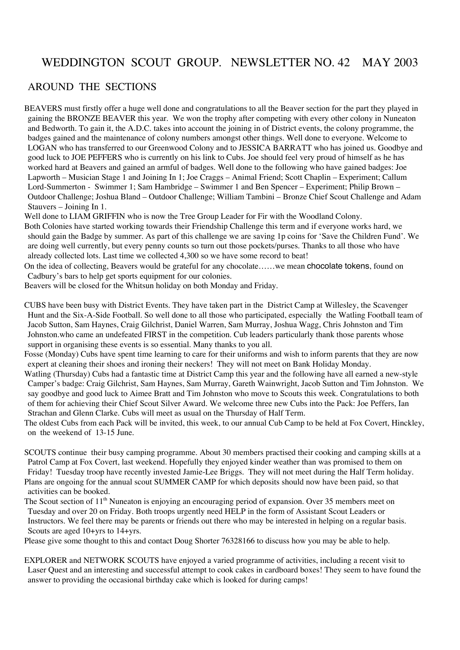# WEDDINGTON SCOUT GROUP. NEWSLETTER NO. 42 MAY 2003

# AROUND THE SECTIONS

BEAVERS must firstly offer a huge well done and congratulations to all the Beaver section for the part they played in gaining the BRONZE BEAVER this year. We won the trophy after competing with every other colony in Nuneaton and Bedworth. To gain it, the A.D.C. takes into account the joining in of District events, the colony programme, the badges gained and the maintenance of colony numbers amongst other things. Well done to everyone. Welcome to LOGAN who has transferred to our Greenwood Colony and to JESSICA BARRATT who has joined us. Goodbye and good luck to JOE PEFFERS who is currently on his link to Cubs. Joe should feel very proud of himself as he has worked hard at Beavers and gained an armful of badges. Well done to the following who have gained badges: Joe Lapworth – Musician Stage 1 and Joining In 1; Joe Craggs – Animal Friend; Scott Chaplin – Experiment; Callum Lord-Summerton - Swimmer 1; Sam Hambridge – Swimmer 1 and Ben Spencer – Experiment; Philip Brown – Outdoor Challenge; Joshua Bland – Outdoor Challenge; William Tambini – Bronze Chief Scout Challenge and Adam Stauvers – Joining In 1.

Well done to LIAM GRIFFIN who is now the Tree Group Leader for Fir with the Woodland Colony.

Both Colonies have started working towards their Friendship Challenge this term and if everyone works hard, we should gain the Badge by summer. As part of this challenge we are saving 1p coins for 'Save the Children Fund'. We are doing well currently, but every penny counts so turn out those pockets/purses. Thanks to all those who have already collected lots. Last time we collected 4,300 so we have some record to beat!

On the idea of collecting, Beavers would be grateful for any chocolate……we mean chocolate tokens, found on Cadbury's bars to help get sports equipment for our colonies.

Beavers will be closed for the Whitsun holiday on both Monday and Friday.

CUBS have been busy with District Events. They have taken part in the District Camp at Willesley, the Scavenger Hunt and the Six-A-Side Football. So well done to all those who participated, especially the Watling Football team of Jacob Sutton, Sam Haynes, Craig Gilchrist, Daniel Warren, Sam Murray, Joshua Wagg, Chris Johnston and Tim Johnston.who came an undefeated FIRST in the competition. Cub leaders particularly thank those parents whose support in organising these events is so essential. Many thanks to you all.

Fosse (Monday) Cubs have spent time learning to care for their uniforms and wish to inform parents that they are now expert at cleaning their shoes and ironing their neckers! They will not meet on Bank Holiday Monday.

Watling (Thursday) Cubs had a fantastic time at District Camp this year and the following have all earned a new-style Camper's badge: Craig Gilchrist, Sam Haynes, Sam Murray, Gareth Wainwright, Jacob Sutton and Tim Johnston. We say goodbye and good luck to Aimee Bratt and Tim Johnston who move to Scouts this week. Congratulations to both of them for achieving their Chief Scout Silver Award. We welcome three new Cubs into the Pack: Joe Peffers, Ian Strachan and Glenn Clarke. Cubs will meet as usual on the Thursday of Half Term.

The oldest Cubs from each Pack will be invited, this week, to our annual Cub Camp to be held at Fox Covert, Hinckley, on the weekend of 13-15 June.

SCOUTS continue their busy camping programme. About 30 members practised their cooking and camping skills at a Patrol Camp at Fox Covert, last weekend. Hopefully they enjoyed kinder weather than was promised to them on Friday! Tuesday troop have recently invested Jamie-Lee Briggs. They will not meet during the Half Term holiday. Plans are ongoing for the annual scout SUMMER CAMP for which deposits should now have been paid, so that activities can be booked.

The Scout section of 11<sup>th</sup> Nuneaton is enjoying an encouraging period of expansion. Over 35 members meet on Tuesday and over 20 on Friday. Both troops urgently need HELP in the form of Assistant Scout Leaders or Instructors. We feel there may be parents or friends out there who may be interested in helping on a regular basis. Scouts are aged 10+yrs to 14+yrs.

Please give some thought to this and contact Doug Shorter 76328166 to discuss how you may be able to help.

EXPLORER and NETWORK SCOUTS have enjoyed a varied programme of activities, including a recent visit to Laser Quest and an interesting and successful attempt to cook cakes in cardboard boxes! They seem to have found the answer to providing the occasional birthday cake which is looked for during camps!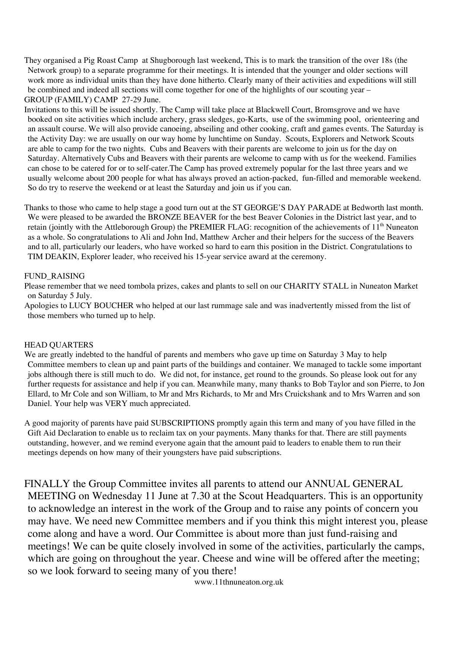They organised a Pig Roast Camp at Shugborough last weekend, This is to mark the transition of the over 18s (the Network group) to a separate programme for their meetings. It is intended that the younger and older sections will work more as individual units than they have done hitherto. Clearly many of their activities and expeditions will still be combined and indeed all sections will come together for one of the highlights of our scouting year – GROUP (FAMILY) CAMP 27-29 June.

Invitations to this will be issued shortly. The Camp will take place at Blackwell Court, Bromsgrove and we have booked on site activities which include archery, grass sledges, go-Karts, use of the swimming pool, orienteering and an assault course. We will also provide canoeing, abseiling and other cooking, craft and games events. The Saturday is the Activity Day: we are usually on our way home by lunchtime on Sunday. Scouts, Explorers and Network Scouts are able to camp for the two nights. Cubs and Beavers with their parents are welcome to join us for the day on Saturday. Alternatively Cubs and Beavers with their parents are welcome to camp with us for the weekend. Families can chose to be catered for or to self-cater.The Camp has proved extremely popular for the last three years and we usually welcome about 200 people for what has always proved an action-packed, fun-filled and memorable weekend. So do try to reserve the weekend or at least the Saturday and join us if you can.

Thanks to those who came to help stage a good turn out at the ST GEORGE'S DAY PARADE at Bedworth last month. We were pleased to be awarded the BRONZE BEAVER for the best Beaver Colonies in the District last year, and to retain (jointly with the Attleborough Group) the PREMIER FLAG: recognition of the achievements of  $11<sup>th</sup>$  Nuneaton as a whole. So congratulations to Ali and John Ind, Matthew Archer and their helpers for the success of the Beavers and to all, particularly our leaders, who have worked so hard to earn this position in the District. Congratulations to TIM DEAKIN, Explorer leader, who received his 15-year service award at the ceremony.

## FUND\_RAISING

Please remember that we need tombola prizes, cakes and plants to sell on our CHARITY STALL in Nuneaton Market on Saturday 5 July.

Apologies to LUCY BOUCHER who helped at our last rummage sale and was inadvertently missed from the list of those members who turned up to help.

## HEAD QUARTERS

We are greatly indebted to the handful of parents and members who gave up time on Saturday 3 May to help Committee members to clean up and paint parts of the buildings and container. We managed to tackle some important jobs although there is still much to do. We did not, for instance, get round to the grounds. So please look out for any further requests for assistance and help if you can. Meanwhile many, many thanks to Bob Taylor and son Pierre, to Jon Ellard, to Mr Cole and son William, to Mr and Mrs Richards, to Mr and Mrs Cruickshank and to Mrs Warren and son Daniel. Your help was VERY much appreciated.

A good majority of parents have paid SUBSCRIPTIONS promptly again this term and many of you have filled in the Gift Aid Declaration to enable us to reclaim tax on your payments. Many thanks for that. There are still payments outstanding, however, and we remind everyone again that the amount paid to leaders to enable them to run their meetings depends on how many of their youngsters have paid subscriptions.

FINALLY the Group Committee invites all parents to attend our ANNUAL GENERAL MEETING on Wednesday 11 June at 7.30 at the Scout Headquarters. This is an opportunity to acknowledge an interest in the work of the Group and to raise any points of concern you may have. We need new Committee members and if you think this might interest you, please come along and have a word. Our Committee is about more than just fund-raising and meetings! We can be quite closely involved in some of the activities, particularly the camps, which are going on throughout the year. Cheese and wine will be offered after the meeting; so we look forward to seeing many of you there!

www.11thnuneaton.org.uk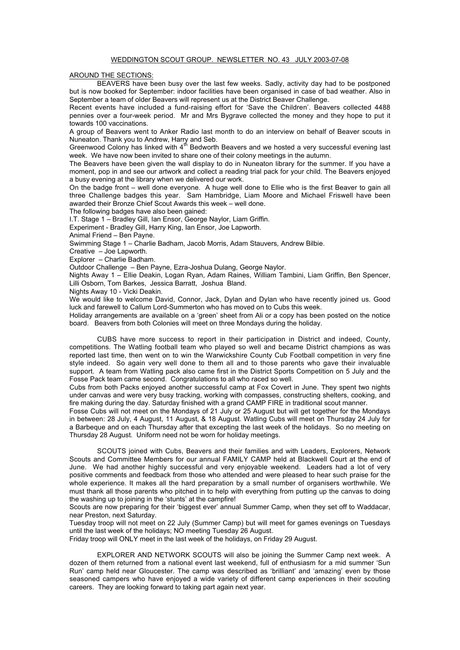### WEDDINGTON SCOUT GROUP. NEWSLETTER NO. 43 JULY 2003-07-08

### AROUND THE SECTIONS:

BEAVERS have been busy over the last few weeks. Sadly, activity day had to be postponed but is now booked for September: indoor facilities have been organised in case of bad weather. Also in September a team of older Beavers will represent us at the District Beaver Challenge.

Recent events have included a fund-raising effort for 'Save the Children'. Beavers collected 4488 pennies over a four-week period. Mr and Mrs Bygrave collected the money and they hope to put it towards 100 vaccinations.

A group of Beavers went to Anker Radio last month to do an interview on behalf of Beaver scouts in Nuneaton. Thank you to Andrew, Harry and Seb.

Greenwood Colony has linked with 4<sup>th</sup> Bedworth Beavers and we hosted a very successful evening last week. We have now been invited to share one of their colony meetings in the autumn.

The Beavers have been given the wall display to do in Nuneaton library for the summer. If you have a moment, pop in and see our artwork and collect a reading trial pack for your child. The Beavers enjoyed a busy evening at the library when we delivered our work.

On the badge front – well done everyone. A huge well done to Ellie who is the first Beaver to gain all three Challenge badges this year. Sam Hambridge, Liam Moore and Michael Friswell have been awarded their Bronze Chief Scout Awards this week – well done.

The following badges have also been gained:

I.T. Stage 1 – Bradley Gill, Ian Ensor, George Naylor, Liam Griffin.

Experiment - Bradley Gill, Harry King, Ian Ensor, Joe Lapworth.

Animal Friend – Ben Payne.

Swimming Stage 1 – Charlie Badham, Jacob Morris, Adam Stauvers, Andrew Bilbie.

Creative – Joe Lapworth.

Explorer – Charlie Badham.

Outdoor Challenge – Ben Payne, Ezra-Joshua Dulang, George Naylor.

Nights Away 1 – Ellie Deakin, Logan Ryan, Adam Raines, William Tambini, Liam Griffin, Ben Spencer, Lilli Osborn, Tom Barkes, Jessica Barratt, Joshua Bland.

Nights Away 10 - Vicki Deakin.

We would like to welcome David, Connor, Jack, Dylan and Dylan who have recently joined us. Good luck and farewell to Callum Lord-Summerton who has moved on to Cubs this week.

Holiday arrangements are available on a 'green' sheet from Ali or a copy has been posted on the notice board. Beavers from both Colonies will meet on three Mondays during the holiday.

CUBS have more success to report in their participation in District and indeed, County, competitions. The Watling football team who played so well and became District champions as was reported last time, then went on to win the Warwickshire County Cub Football competition in very fine style indeed. So again very well done to them all and to those parents who gave their invaluable support. A team from Watling pack also came first in the District Sports Competition on 5 July and the Fosse Pack team came second. Congratulations to all who raced so well.

Cubs from both Packs enjoyed another successful camp at Fox Covert in June. They spent two nights under canvas and were very busy tracking, working with compasses, constructing shelters, cooking, and fire making during the day. Saturday finished with a grand CAMP FIRE in traditional scout manner.

Fosse Cubs will not meet on the Mondays of 21 July or 25 August but will get together for the Mondays in between: 28 July, 4 August, 11 August, & 18 August. Watling Cubs will meet on Thursday 24 July for a Barbeque and on each Thursday after that excepting the last week of the holidays. So no meeting on Thursday 28 August. Uniform need not be worn for holiday meetings.

SCOUTS joined with Cubs, Beavers and their families and with Leaders, Explorers, Network Scouts and Committee Members for our annual FAMILY CAMP held at Blackwell Court at the end of June. We had another highly successful and very enjoyable weekend. Leaders had a lot of very positive comments and feedback from those who attended and were pleased to hear such praise for the whole experience. It makes all the hard preparation by a small number of organisers worthwhile. We must thank all those parents who pitched in to help with everything from putting up the canvas to doing the washing up to joining in the 'stunts' at the campfire!

Scouts are now preparing for their 'biggest ever' annual Summer Camp, when they set off to Waddacar, near Preston, next Saturday.

Tuesday troop will not meet on 22 July (Summer Camp) but will meet for games evenings on Tuesdays until the last week of the holidays; NO meeting Tuesday 26 August.

Friday troop will ONLY meet in the last week of the holidays, on Friday 29 August.

EXPLORER AND NETWORK SCOUTS will also be joining the Summer Camp next week. A dozen of them returned from a national event last weekend, full of enthusiasm for a mid summer 'Sun Run' camp held near Gloucester. The camp was described as 'brilliant' and 'amazing' even by those seasoned campers who have enjoyed a wide variety of different camp experiences in their scouting careers. They are looking forward to taking part again next year.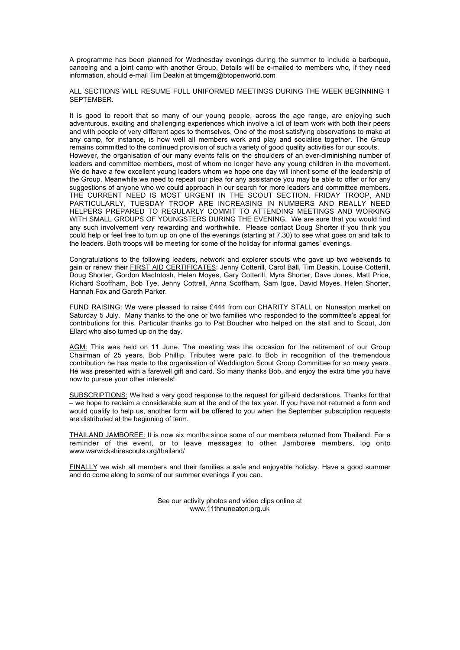A programme has been planned for Wednesday evenings during the summer to include a barbeque, canoeing and a joint camp with another Group. Details will be e-mailed to members who, if they need information, should e-mail Tim Deakin at timgem@btopenworld.com

ALL SECTIONS WILL RESUME FULL UNIFORMED MEETINGS DURING THE WEEK BEGINNING 1 SEPTEMBER.

It is good to report that so many of our young people, across the age range, are enjoying such adventurous, exciting and challenging experiences which involve a lot of team work with both their peers and with people of very different ages to themselves. One of the most satisfying observations to make at any camp, for instance, is how well all members work and play and socialise together. The Group remains committed to the continued provision of such a variety of good quality activities for our scouts. However, the organisation of our many events falls on the shoulders of an ever-diminishing number of leaders and committee members, most of whom no longer have any young children in the movement. We do have a few excellent young leaders whom we hope one day will inherit some of the leadership of the Group. Meanwhile we need to repeat our plea for any assistance you may be able to offer or for any suggestions of anyone who we could approach in our search for more leaders and committee members. THE CURRENT NEED IS MOST URGENT IN THE SCOUT SECTION. FRIDAY TROOP, AND PARTICULARLY, TUESDAY TROOP ARE INCREASING IN NUMBERS AND REALLY NEED HELPERS PREPARED TO REGULARLY COMMIT TO ATTENDING MEETINGS AND WORKING WITH SMALL GROUPS OF YOUNGSTERS DURING THE EVENING. We are sure that you would find any such involvement very rewarding and worthwhile. Please contact Doug Shorter if you think you could help or feel free to turn up on one of the evenings (starting at 7.30) to see what goes on and talk to the leaders. Both troops will be meeting for some of the holiday for informal games' evenings.

Congratulations to the following leaders, network and explorer scouts who gave up two weekends to gain or renew their FIRST AID CERTIFICATES: Jenny Cotterill, Carol Ball, Tim Deakin, Louise Cotterill, Doug Shorter, Gordon MacIntosh, Helen Moyes, Gary Cotterill, Myra Shorter, Dave Jones, Matt Price, Richard Scoffham, Bob Tye, Jenny Cottrell, Anna Scoffham, Sam Igoe, David Moyes, Helen Shorter, Hannah Fox and Gareth Parker.

FUND RAISING: We were pleased to raise £444 from our CHARITY STALL on Nuneaton market on Saturday 5 July. Many thanks to the one or two families who responded to the committee's appeal for contributions for this. Particular thanks go to Pat Boucher who helped on the stall and to Scout, Jon Ellard who also turned up on the day.

AGM: This was held on 11 June. The meeting was the occasion for the retirement of our Group Chairman of 25 years, Bob Phillip. Tributes were paid to Bob in recognition of the tremendous contribution he has made to the organisation of Weddington Scout Group Committee for so many years. He was presented with a farewell gift and card. So many thanks Bob, and enjoy the extra time you have now to pursue your other interests!

SUBSCRIPTIONS: We had a very good response to the request for gift-aid declarations. Thanks for that – we hope to reclaim a considerable sum at the end of the tax year. If you have not returned a form and would qualify to help us, another form will be offered to you when the September subscription requests are distributed at the beginning of term.

THAILAND JAMBOREE: It is now six months since some of our members returned from Thailand. For a reminder of the event, or to leave messages to other Jamboree members, log onto www.warwickshirescouts.org/thailand/

FINALLY we wish all members and their families a safe and enjoyable holiday. Have a good summer and do come along to some of our summer evenings if you can.

> See our activity photos and video clips online at www.11thnuneaton.org.uk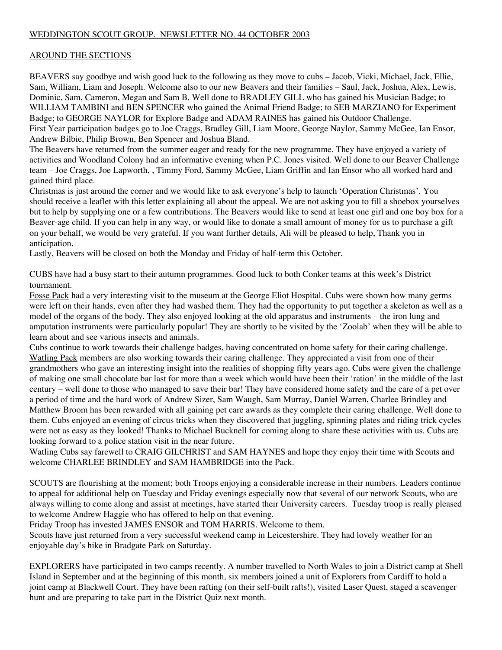# WEDDINGTON SCOUT GROUP. NEWSLETTER NO. 44 OCTOBER 2003

## AROUND THE SECTIONS

BEAVERS say goodbye and wish good luck to the following as they move to cubs – Jacob, Vicki, Michael, Jack, Ellie, Sam, William, Liam and Joseph. Welcome also to our new Beavers and their families – Saul, Jack, Joshua, Alex, Lewis, Dominic, Sam, Cameron, Megan and Sam B. Well done to BRADLEY GILL who has gained his Musician Badge; to WILLIAM TAMBINI and BEN SPENCER who gained the Animal Friend Badge; to SEB MARZIANO for Experiment Badge; to GEORGE NAYLOR for Explore Badge and ADAM RAINES has gained his Outdoor Challenge. First Year participation badges go to Joe Craggs, Bradley Gill, Liam Moore, George Naylor, Sammy McGee, Ian Ensor, Andrew Bilbie, Philip Brown, Ben Spencer and Joshua Bland.

The Beavers have returned from the summer eager and ready for the new programme. They have enjoyed a variety of activities and Woodland Colony had an informative evening when P.C. Jones visited. Well done to our Beaver Challenge team – Joe Craggs, Joe Lapworth, , Timmy Ford, Sammy McGee, Liam Griffin and Ian Ensor who all worked hard and gained third place.

Christmas is just around the corner and we would like to ask everyone's help to launch 'Operation Christmas'. You should receive a leaflet with this letter explaining all about the appeal. We are not asking you to fill a shoebox yourselves but to help by supplying one or a few contributions. The Beavers would like to send at least one girl and one boy box for a Beaver-age child. If you can help in any way, or would like to donate a small amount of money for us to purchase a gift on your behalf, we would be very grateful. If you want further details, Ali will be pleased to help, Thank you in anticipation.

Lastly, Beavers will be closed on both the Monday and Friday of half-term this October.

CUBS have had a busy start to their autumn programmes. Good luck to both Conker teams at this week's District tournament.

Fosse Pack had a very interesting visit to the museum at the George Eliot Hospital. Cubs were shown how many germs were left on their hands, even after they had washed them. They had the opportunity to put together a skeleton as well as a model of the organs of the body. They also enjoyed looking at the old apparatus and instruments – the iron lung and amputation instruments were particularly popular! They are shortly to be visited by the 'Zoolab' when they will be able to learn about and see various insects and animals.

Cubs continue to work towards their challenge badges, having concentrated on home safety for their caring challenge. Watling Pack members are also working towards their caring challenge. They appreciated a visit from one of their grandmothers who gave an interesting insight into the realities of shopping fifty years ago. Cubs were given the challenge of making one small chocolate bar last for more than a week which would have been their 'ration' in the middle of the last century – well done to those who managed to save their bar! They have considered home safety and the care of a pet over a period of time and the hard work of Andrew Sizer, Sam Waugh, Sam Murray, Daniel Warren, Charlee Brindley and Matthew Broom has been rewarded with all gaining pet care awards as they complete their caring challenge. Well done to them. Cubs enjoyed an evening of circus tricks when they discovered that juggling, spinning plates and riding trick cycles were not as easy as they looked! Thanks to Michael Bucknell for coming along to share these activities with us. Cubs are looking forward to a police station visit in the near future.

Watling Cubs say farewell to CRAIG GILCHRIST and SAM HAYNES and hope they enjoy their time with Scouts and welcome CHARLEE BRINDLEY and SAM HAMBRIDGE into the Pack.

SCOUTS are flourishing at the moment; both Troops enjoying a considerable increase in their numbers. Leaders continue to appeal for additional help on Tuesday and Friday evenings especially now that several of our network Scouts, who are always willing to come along and assist at meetings, have started their University careers. Tuesday troop is really pleased to welcome Andrew Haggie who has offered to help on that evening.

Friday Troop has invested JAMES ENSOR and TOM HARRIS. Welcome to them.

Scouts have just returned from a very successful weekend camp in Leicestershire. They had lovely weather for an enjoyable day's hike in Bradgate Park on Saturday.

EXPLORERS have participated in two camps recently. A number travelled to North Wales to join a District camp at Shell Island in September and at the beginning of this month, six members joined a unit of Explorers from Cardiff to hold a joint camp at Blackwell Court. They have been rafting (on their self-built rafts!), visited Laser Quest, staged a scavenger hunt and are preparing to take part in the District Quiz next month.